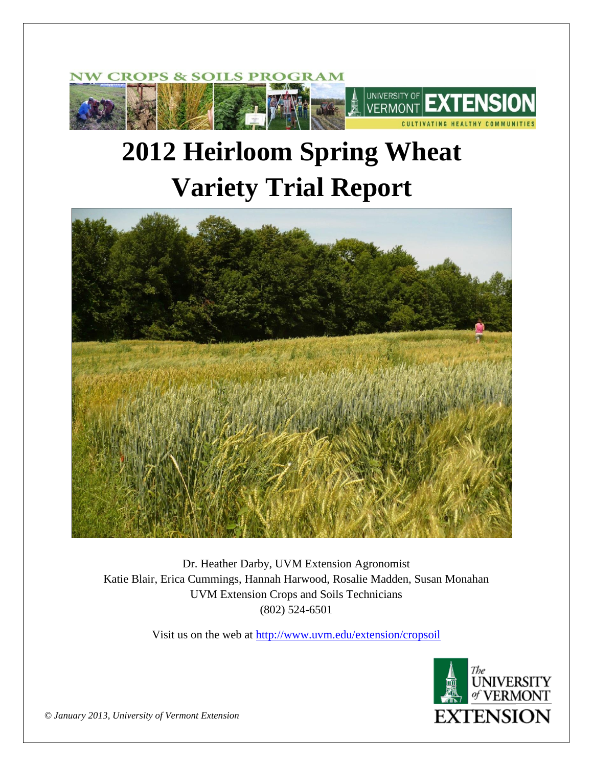

# **2012 Heirloom Spring Wheat Variety Trial Report**



Dr. Heather Darby, UVM Extension Agronomist Katie Blair, Erica Cummings, Hannah Harwood, Rosalie Madden, Susan Monahan UVM Extension Crops and Soils Technicians (802) 524-6501

Visit us on the web at<http://www.uvm.edu/extension/cropsoil>



*© January 2013, University of Vermont Extension*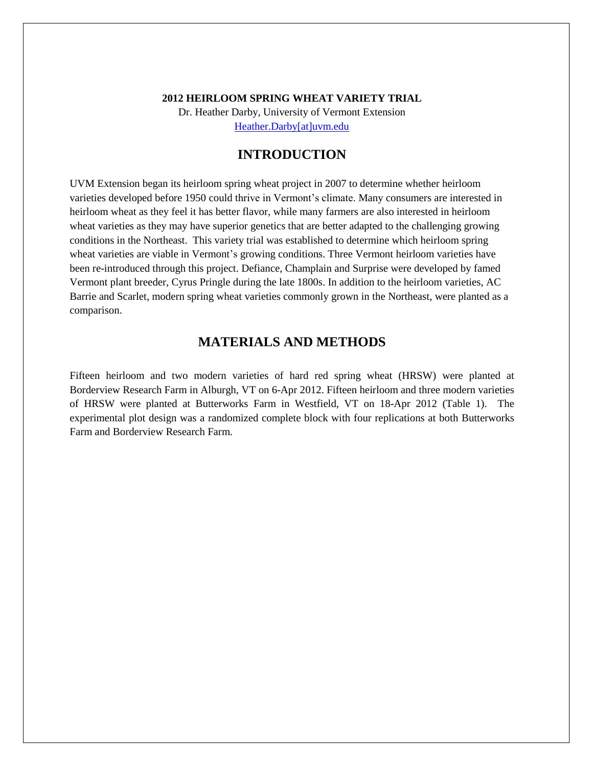#### **2012 HEIRLOOM SPRING WHEAT VARIETY TRIAL**

Dr. Heather Darby, University of Vermont Extension [Heather.Darby\[at\]uvm.edu](mailto:Heather.Darby@uvm.edu?subject=2012%20Heirloom%20Spring%20Wheat%20Variety%20Trial)

## **INTRODUCTION**

UVM Extension began its heirloom spring wheat project in 2007 to determine whether heirloom varieties developed before 1950 could thrive in Vermont's climate. Many consumers are interested in heirloom wheat as they feel it has better flavor, while many farmers are also interested in heirloom wheat varieties as they may have superior genetics that are better adapted to the challenging growing conditions in the Northeast. This variety trial was established to determine which heirloom spring wheat varieties are viable in Vermont's growing conditions. Three Vermont heirloom varieties have been re-introduced through this project. Defiance, Champlain and Surprise were developed by famed Vermont plant breeder, Cyrus Pringle during the late 1800s. In addition to the heirloom varieties, AC Barrie and Scarlet, modern spring wheat varieties commonly grown in the Northeast, were planted as a comparison.

# **MATERIALS AND METHODS**

Fifteen heirloom and two modern varieties of hard red spring wheat (HRSW) were planted at Borderview Research Farm in Alburgh, VT on 6-Apr 2012. Fifteen heirloom and three modern varieties of HRSW were planted at Butterworks Farm in Westfield, VT on 18-Apr 2012 (Table 1). The experimental plot design was a randomized complete block with four replications at both Butterworks Farm and Borderview Research Farm.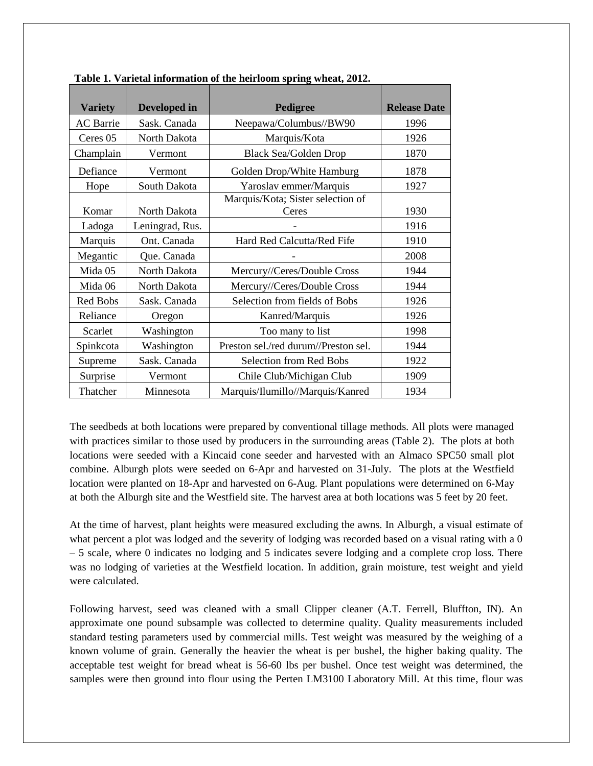| <b>Variety</b>      | Developed in    | Pedigree                             | <b>Release Date</b> |
|---------------------|-----------------|--------------------------------------|---------------------|
| <b>AC</b> Barrie    | Sask. Canada    | Neepawa/Columbus//BW90               | 1996                |
| Ceres <sub>05</sub> | North Dakota    | Marquis/Kota                         | 1926                |
| Champlain           | Vermont         | <b>Black Sea/Golden Drop</b>         | 1870                |
| Defiance            | Vermont         | Golden Drop/White Hamburg            | 1878                |
| Hope                | South Dakota    | Yaroslav emmer/Marquis               | 1927                |
|                     |                 | Marquis/Kota; Sister selection of    |                     |
| Komar               | North Dakota    | Ceres                                | 1930                |
| Ladoga              | Leningrad, Rus. |                                      | 1916                |
| Marquis             | Ont. Canada     | Hard Red Calcutta/Red Fife           | 1910                |
| Megantic            | Que. Canada     |                                      | 2008                |
| Mida 05             | North Dakota    | Mercury//Ceres/Double Cross          | 1944                |
| Mida 06             | North Dakota    | Mercury//Ceres/Double Cross          | 1944                |
| Red Bobs            | Sask. Canada    | Selection from fields of Bobs        | 1926                |
| Reliance            | Oregon          | Kanred/Marquis                       | 1926                |
| Scarlet             | Washington      | Too many to list                     | 1998                |
| Spinkcota           | Washington      | Preston sel./red durum//Preston sel. | 1944                |
| Supreme             | Sask. Canada    | Selection from Red Bobs              | 1922                |
| Surprise            | Vermont         | Chile Club/Michigan Club             | 1909                |
| Thatcher            | Minnesota       | Marquis/Ilumillo//Marquis/Kanred     | 1934                |

**Table 1. Varietal information of the heirloom spring wheat, 2012.**

The seedbeds at both locations were prepared by conventional tillage methods. All plots were managed with practices similar to those used by producers in the surrounding areas (Table 2). The plots at both locations were seeded with a Kincaid cone seeder and harvested with an Almaco SPC50 small plot combine. Alburgh plots were seeded on 6-Apr and harvested on 31-July. The plots at the Westfield location were planted on 18-Apr and harvested on 6-Aug. Plant populations were determined on 6-May at both the Alburgh site and the Westfield site. The harvest area at both locations was 5 feet by 20 feet.

At the time of harvest, plant heights were measured excluding the awns. In Alburgh, a visual estimate of what percent a plot was lodged and the severity of lodging was recorded based on a visual rating with a 0 – 5 scale, where 0 indicates no lodging and 5 indicates severe lodging and a complete crop loss. There was no lodging of varieties at the Westfield location. In addition, grain moisture, test weight and yield were calculated.

Following harvest, seed was cleaned with a small Clipper cleaner (A.T. Ferrell, Bluffton, IN). An approximate one pound subsample was collected to determine quality. Quality measurements included standard testing parameters used by commercial mills. Test weight was measured by the weighing of a known volume of grain. Generally the heavier the wheat is per bushel, the higher baking quality. The acceptable test weight for bread wheat is 56-60 lbs per bushel. Once test weight was determined, the samples were then ground into flour using the Perten LM3100 Laboratory Mill. At this time, flour was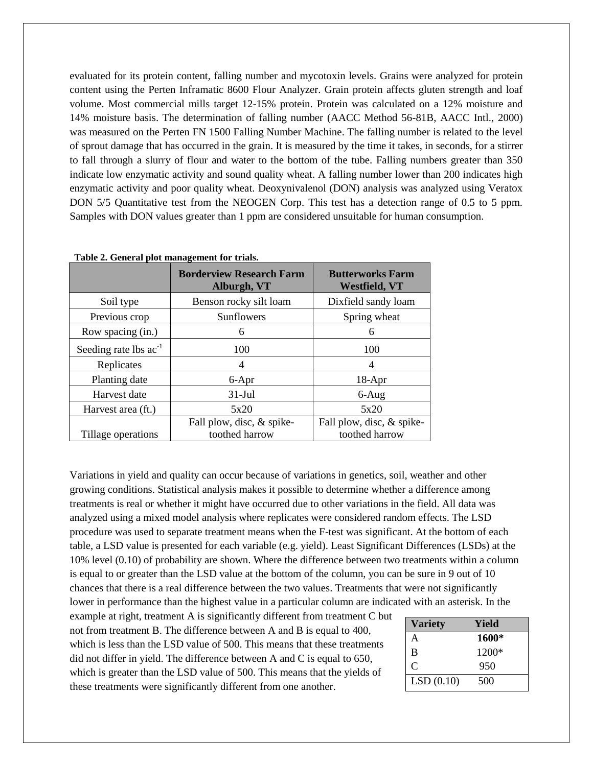evaluated for its protein content, falling number and mycotoxin levels. Grains were analyzed for protein content using the Perten Inframatic 8600 Flour Analyzer. Grain protein affects gluten strength and loaf volume. Most commercial mills target 12-15% protein. Protein was calculated on a 12% moisture and 14% moisture basis. The determination of falling number (AACC Method 56-81B, AACC Intl., 2000) was measured on the Perten FN 1500 Falling Number Machine. The falling number is related to the level of sprout damage that has occurred in the grain. It is measured by the time it takes, in seconds, for a stirrer to fall through a slurry of flour and water to the bottom of the tube. Falling numbers greater than 350 indicate low enzymatic activity and sound quality wheat. A falling number lower than 200 indicates high enzymatic activity and poor quality wheat. Deoxynivalenol (DON) analysis was analyzed using Veratox DON 5/5 Quantitative test from the NEOGEN Corp. This test has a detection range of 0.5 to 5 ppm. Samples with DON values greater than 1 ppm are considered unsuitable for human consumption.

|                            | <b>Borderview Research Farm</b><br>Alburgh, VT | <b>Butterworks Farm</b><br><b>Westfield, VT</b> |
|----------------------------|------------------------------------------------|-------------------------------------------------|
| Soil type                  | Benson rocky silt loam                         | Dixfield sandy loam                             |
| Previous crop              | Sunflowers                                     | Spring wheat                                    |
| Row spacing (in.)          | 6                                              | 6                                               |
| Seeding rate lbs $ac^{-1}$ | 100                                            | 100                                             |
| Replicates                 | 4                                              | 4                                               |
| Planting date              | 6-Apr                                          | $18-Apr$                                        |
| Harvest date               | $31-Jul$                                       | $6 - Aug$                                       |
| Harvest area (ft.)         | 5x20                                           | 5x20                                            |
| Tillage operations         | Fall plow, disc, & spike-<br>toothed harrow    | Fall plow, disc, & spike-<br>toothed harrow     |

|  |  | Table 2. General plot management for trials. |  |  |
|--|--|----------------------------------------------|--|--|
|--|--|----------------------------------------------|--|--|

Variations in yield and quality can occur because of variations in genetics, soil, weather and other growing conditions. Statistical analysis makes it possible to determine whether a difference among treatments is real or whether it might have occurred due to other variations in the field. All data was analyzed using a mixed model analysis where replicates were considered random effects. The LSD procedure was used to separate treatment means when the F-test was significant. At the bottom of each table, a LSD value is presented for each variable (e.g. yield). Least Significant Differences (LSDs) at the 10% level (0.10) of probability are shown. Where the difference between two treatments within a column is equal to or greater than the LSD value at the bottom of the column, you can be sure in 9 out of 10 chances that there is a real difference between the two values. Treatments that were not significantly lower in performance than the highest value in a particular column are indicated with an asterisk. In the

example at right, treatment A is significantly different from treatment C but not from treatment B. The difference between A and B is equal to 400, which is less than the LSD value of 500. This means that these treatments did not differ in yield. The difference between A and C is equal to 650, which is greater than the LSD value of 500. This means that the yields of these treatments were significantly different from one another.

| <b>Variety</b> | Yield |
|----------------|-------|
| A              | 1600* |
| B              | 1200* |
| C              | 950   |
| LSD(0.10)      | 500   |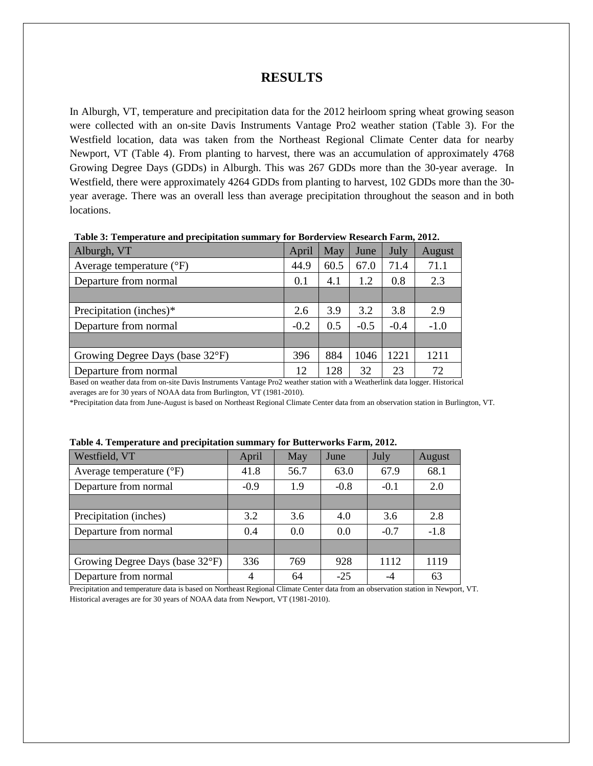### **RESULTS**

In Alburgh, VT, temperature and precipitation data for the 2012 heirloom spring wheat growing season were collected with an on-site Davis Instruments Vantage Pro2 weather station (Table 3). For the Westfield location, data was taken from the Northeast Regional Climate Center data for nearby Newport, VT (Table 4). From planting to harvest, there was an accumulation of approximately 4768 Growing Degree Days (GDDs) in Alburgh. This was 267 GDDs more than the 30-year average. In Westfield, there were approximately 4264 GDDs from planting to harvest, 102 GDDs more than the 30 year average. There was an overall less than average precipitation throughout the season and in both locations.

| April  | May  | June                                      | July   | August |
|--------|------|-------------------------------------------|--------|--------|
| 44.9   | 60.5 | 67.0                                      | 71.4   | 71.1   |
| 0.1    | 4.1  | 1.2                                       | 0.8    | 2.3    |
|        |      |                                           |        |        |
| 2.6    | 3.9  | 3.2                                       | 3.8    | 2.9    |
| $-0.2$ | 0.5  | $-0.5$                                    | $-0.4$ | $-1.0$ |
|        |      |                                           |        |        |
| 396    | 884  | 1046                                      | 1221   | 1211   |
| 12     | 128  | 32                                        | 23     | 72     |
|        |      | $\sim$ $\sim$ $\sim$ $\sim$ $\sim$ $\sim$ |        |        |

**Table 3: Temperature and precipitation summary for Borderview Research Farm, 2012.**

Based on weather data from on-site Davis Instruments Vantage Pro2 weather station with a Weatherlink data logger. Historical averages are for 30 years of NOAA data from Burlington, VT (1981-2010).

\*Precipitation data from June-August is based on Northeast Regional Climate Center data from an observation station in Burlington, VT.

| Westfield, VT                     | April  | May  | June   | July   | August |
|-----------------------------------|--------|------|--------|--------|--------|
| Average temperature $(^{\circ}F)$ | 41.8   | 56.7 | 63.0   | 67.9   | 68.1   |
| Departure from normal             | $-0.9$ | 1.9  | $-0.8$ | $-0.1$ | 2.0    |
|                                   |        |      |        |        |        |
| Precipitation (inches)            | 3.2    | 3.6  | 4.0    | 3.6    | 2.8    |
| Departure from normal             | 0.4    | 0.0  | 0.0    | $-0.7$ | $-1.8$ |
|                                   |        |      |        |        |        |
| Growing Degree Days (base 32°F)   | 336    | 769  | 928    | 1112   | 1119   |
| Departure from normal             | 4      | 64   | $-25$  |        | 63     |

| Table 4. Temperature and precipitation summary for Butterworks Farm, 2012. |  |  |
|----------------------------------------------------------------------------|--|--|
|                                                                            |  |  |

Precipitation and temperature data is based on Northeast Regional Climate Center data from an observation station in Newport, VT. Historical averages are for 30 years of NOAA data from Newport, VT (1981-2010).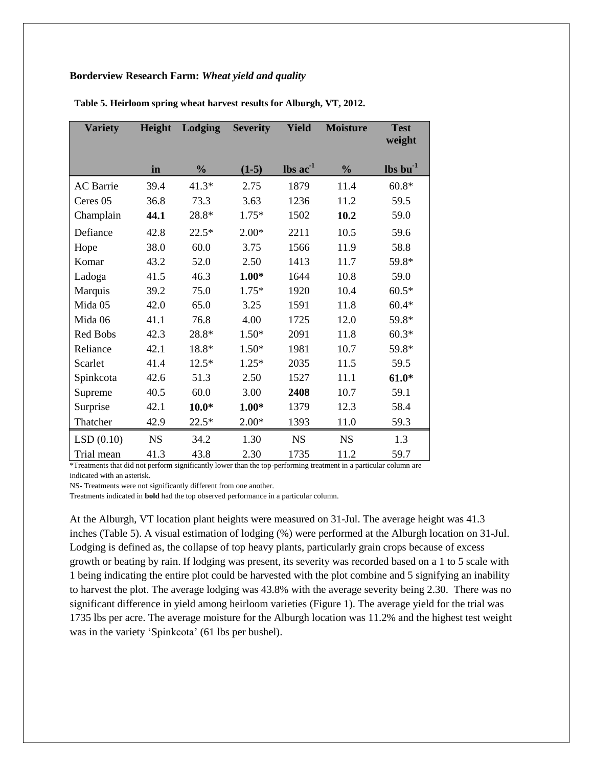#### **Borderview Research Farm:** *Wheat yield and quality*

| <b>Variety</b>   | Height    | Lodging       | <b>Severity</b> | <b>Yield</b>                  | <b>Moisture</b> | <b>Test</b><br>weight    |
|------------------|-----------|---------------|-----------------|-------------------------------|-----------------|--------------------------|
|                  | in        | $\frac{0}{0}$ | $(1-5)$         | $\text{lbs}$ ac <sup>-1</sup> | $\frac{0}{0}$   | $\ln b$ bu <sup>-1</sup> |
| <b>AC</b> Barrie | 39.4      | $41.3*$       | 2.75            | 1879                          | 11.4            | $60.8*$                  |
| Ceres 05         | 36.8      | 73.3          | 3.63            | 1236                          | 11.2            | 59.5                     |
| Champlain        | 44.1      | 28.8*         | $1.75*$         | 1502                          | 10.2            | 59.0                     |
| Defiance         | 42.8      | $22.5*$       | $2.00*$         | 2211                          | 10.5            | 59.6                     |
| Hope             | 38.0      | 60.0          | 3.75            | 1566                          | 11.9            | 58.8                     |
| Komar            | 43.2      | 52.0          | 2.50            | 1413                          | 11.7            | 59.8*                    |
| Ladoga           | 41.5      | 46.3          | $1.00*$         | 1644                          | 10.8            | 59.0                     |
| Marquis          | 39.2      | 75.0          | $1.75*$         | 1920                          | 10.4            | $60.5*$                  |
| Mida 05          | 42.0      | 65.0          | 3.25            | 1591                          | 11.8            | $60.4*$                  |
| Mida 06          | 41.1      | 76.8          | 4.00            | 1725                          | 12.0            | 59.8*                    |
| <b>Red Bobs</b>  | 42.3      | 28.8*         | $1.50*$         | 2091                          | 11.8            | $60.3*$                  |
| Reliance         | 42.1      | 18.8*         | $1.50*$         | 1981                          | 10.7            | 59.8*                    |
| Scarlet          | 41.4      | $12.5*$       | $1.25*$         | 2035                          | 11.5            | 59.5                     |
| Spinkcota        | 42.6      | 51.3          | 2.50            | 1527                          | 11.1            | $61.0*$                  |
| Supreme          | 40.5      | 60.0          | 3.00            | 2408                          | 10.7            | 59.1                     |
| Surprise         | 42.1      | $10.0*$       | $1.00*$         | 1379                          | 12.3            | 58.4                     |
| Thatcher         | 42.9      | $22.5*$       | $2.00*$         | 1393                          | 11.0            | 59.3                     |
| LSD(0.10)        | <b>NS</b> | 34.2          | 1.30            | <b>NS</b>                     | <b>NS</b>       | 1.3                      |
| Trial mean       | 41.3      | 43.8          | 2.30            | 1735                          | 11.2            | 59.7                     |

**Table 5. Heirloom spring wheat harvest results for Alburgh, VT, 2012.**

\*Treatments that did not perform significantly lower than the top-performing treatment in a particular column are indicated with an asterisk.

NS- Treatments were not significantly different from one another.

Treatments indicated in **bold** had the top observed performance in a particular column.

At the Alburgh, VT location plant heights were measured on 31-Jul. The average height was 41.3 inches (Table 5). A visual estimation of lodging (%) were performed at the Alburgh location on 31-Jul. Lodging is defined as, the collapse of top heavy plants, particularly grain crops because of excess growth or beating by rain. If lodging was present, its severity was recorded based on a 1 to 5 scale with 1 being indicating the entire plot could be harvested with the plot combine and 5 signifying an inability to harvest the plot. The average lodging was 43.8% with the average severity being 2.30. There was no significant difference in yield among heirloom varieties (Figure 1). The average yield for the trial was 1735 lbs per acre. The average moisture for the Alburgh location was 11.2% and the highest test weight was in the variety 'Spinkcota' (61 lbs per bushel).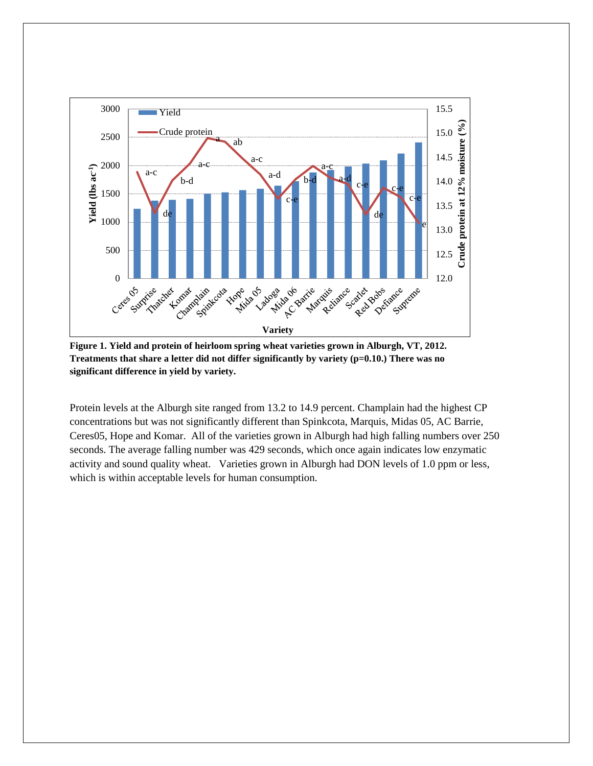

**Figure 1. Yield and protein of heirloom spring wheat varieties grown in Alburgh, VT, 2012. Treatments that share a letter did not differ significantly by variety (p=0.10.) There was no significant difference in yield by variety.**

Protein levels at the Alburgh site ranged from 13.2 to 14.9 percent. Champlain had the highest CP concentrations but was not significantly different than Spinkcota, Marquis, Midas 05, AC Barrie, Ceres05, Hope and Komar. All of the varieties grown in Alburgh had high falling numbers over 250 seconds. The average falling number was 429 seconds, which once again indicates low enzymatic activity and sound quality wheat. Varieties grown in Alburgh had DON levels of 1.0 ppm or less, which is within acceptable levels for human consumption.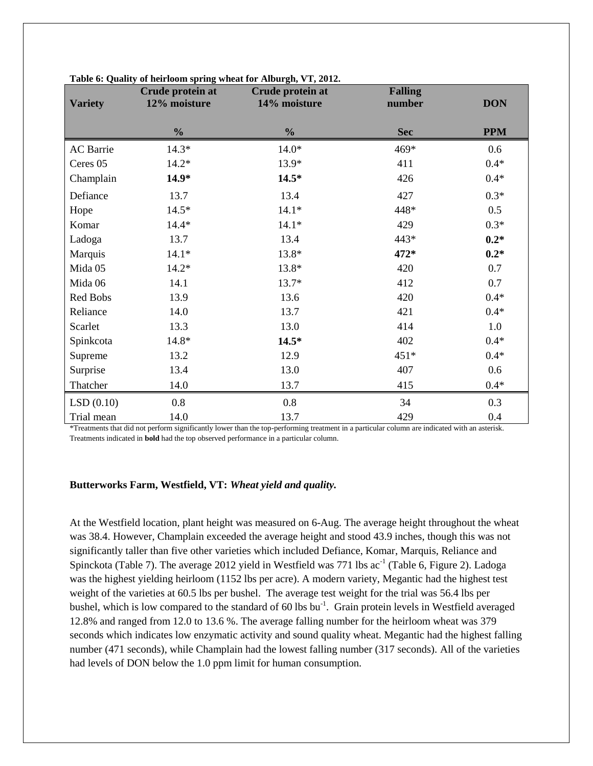| <b>Variety</b>   | Crude protein at<br>12% moisture | Crude protein at<br>14% moisture | <b>Falling</b><br>number | <b>DON</b> |
|------------------|----------------------------------|----------------------------------|--------------------------|------------|
|                  | $\frac{0}{0}$                    | $\frac{0}{0}$                    | <b>Sec</b>               | <b>PPM</b> |
| <b>AC</b> Barrie | $14.3*$                          | $14.0*$                          | 469*                     | 0.6        |
| Ceres 05         | $14.2*$                          | 13.9*                            | 411                      | $0.4*$     |
| Champlain        | $14.9*$                          | $14.5*$                          | 426                      | $0.4*$     |
| Defiance         | 13.7                             | 13.4                             | 427                      | $0.3*$     |
| Hope             | $14.5*$                          | $14.1*$                          | 448*                     | 0.5        |
| Komar            | $14.4*$                          | $14.1*$                          | 429                      | $0.3*$     |
| Ladoga           | 13.7                             | 13.4                             | 443*                     | $0.2*$     |
| Marquis          | $14.1*$                          | 13.8*                            | 472*                     | $0.2*$     |
| Mida 05          | $14.2*$                          | 13.8*                            | 420                      | 0.7        |
| Mida 06          | 14.1                             | 13.7*                            | 412                      | 0.7        |
| Red Bobs         | 13.9                             | 13.6                             | 420                      | $0.4*$     |
| Reliance         | 14.0                             | 13.7                             | 421                      | $0.4*$     |
| Scarlet          | 13.3                             | 13.0                             | 414                      | 1.0        |
| Spinkcota        | 14.8*                            | $14.5*$                          | 402                      | $0.4*$     |
| Supreme          | 13.2                             | 12.9                             | $451*$                   | $0.4*$     |
| Surprise         | 13.4                             | 13.0                             | 407                      | 0.6        |
| Thatcher         | 14.0                             | 13.7                             | 415                      | $0.4*$     |
| LSD(0.10)        | 0.8                              | 0.8                              | 34                       | 0.3        |
| Trial mean       | 14.0                             | 13.7                             | 429                      | 0.4        |

|  | Table 6: Quality of heirloom spring wheat for Alburgh, VT, 2012. |  |  |
|--|------------------------------------------------------------------|--|--|
|  |                                                                  |  |  |

\*Treatments that did not perform significantly lower than the top-performing treatment in a particular column are indicated with an asterisk. Treatments indicated in **bold** had the top observed performance in a particular column.

#### **Butterworks Farm, Westfield, VT:** *Wheat yield and quality.*

At the Westfield location, plant height was measured on 6-Aug. The average height throughout the wheat was 38.4. However, Champlain exceeded the average height and stood 43.9 inches, though this was not significantly taller than five other varieties which included Defiance, Komar, Marquis, Reliance and Spinckota (Table 7). The average 2012 yield in Westfield was 771 lbs  $ac^{-1}$  (Table 6, Figure 2). Ladoga was the highest yielding heirloom (1152 lbs per acre). A modern variety, Megantic had the highest test weight of the varieties at 60.5 lbs per bushel. The average test weight for the trial was 56.4 lbs per bushel, which is low compared to the standard of 60 lbs bu<sup>-1</sup>. Grain protein levels in Westfield averaged 12.8% and ranged from 12.0 to 13.6 %. The average falling number for the heirloom wheat was 379 seconds which indicates low enzymatic activity and sound quality wheat. Megantic had the highest falling number (471 seconds), while Champlain had the lowest falling number (317 seconds). All of the varieties had levels of DON below the 1.0 ppm limit for human consumption.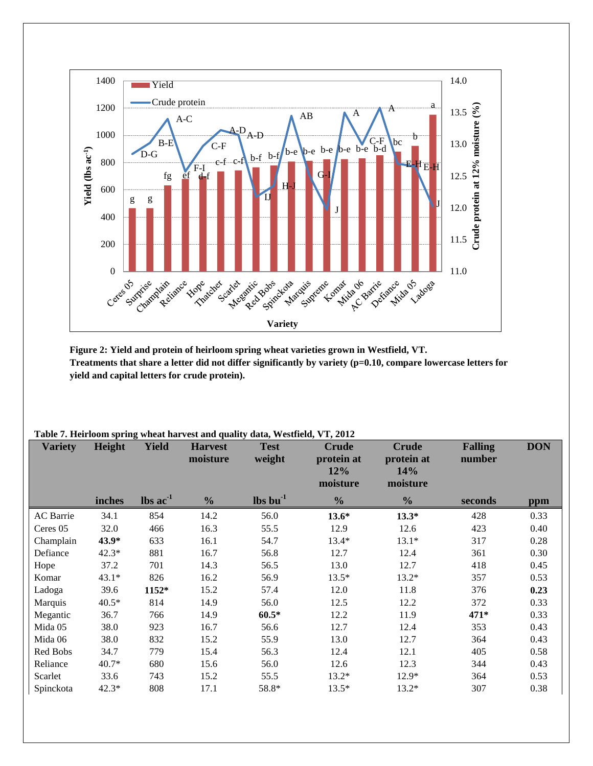

**Figure 2: Yield and protein of heirloom spring wheat varieties grown in Westfield, VT. Treatments that share a letter did not differ significantly by variety (p=0.10, compare lowercase letters for yield and capital letters for crude protein).**

| <b>Variety</b> | $v_{\rm max}$<br>Height | <b>Yield</b>                  | $\mathbf{u}$ and $\mathbf{v}$ and $\mathbf{v}$ and $\mathbf{v}$ and $\mathbf{v}$ are $\mathbf{v}$ and $\mathbf{v}$ and $\mathbf{v}$ and $\mathbf{v}$ and $\mathbf{v}$ and $\mathbf{v}$ and $\mathbf{v}$ and $\mathbf{v}$ and $\mathbf{v}$ and $\mathbf{v}$ and $\mathbf{v}$ and $\mathbf{v}$ and<br><b>Harvest</b><br>moisture | <b>Test</b><br>weight          | <b>Crude</b><br>protein at<br>12%<br>moisture | <b>Crude</b><br>protein at<br>14%<br>moisture | <b>Falling</b><br>number | <b>DON</b> |
|----------------|-------------------------|-------------------------------|--------------------------------------------------------------------------------------------------------------------------------------------------------------------------------------------------------------------------------------------------------------------------------------------------------------------------------|--------------------------------|-----------------------------------------------|-----------------------------------------------|--------------------------|------------|
|                | inches                  | $\text{lbs}$ ac <sup>-1</sup> | $\frac{0}{0}$                                                                                                                                                                                                                                                                                                                  | $\mathbf{lbs}\mathbf{bu}^{-1}$ | $\frac{0}{0}$                                 | $\frac{0}{0}$                                 | seconds                  | ppm        |
| AC Barrie      | 34.1                    | 854                           | 14.2                                                                                                                                                                                                                                                                                                                           | 56.0                           | $13.6*$                                       | $13.3*$                                       | 428                      | 0.33       |
| Ceres 05       | 32.0                    | 466                           | 16.3                                                                                                                                                                                                                                                                                                                           | 55.5                           | 12.9                                          | 12.6                                          | 423                      | 0.40       |
| Champlain      | 43.9*                   | 633                           | 16.1                                                                                                                                                                                                                                                                                                                           | 54.7                           | $13.4*$                                       | $13.1*$                                       | 317                      | 0.28       |
| Defiance       | $42.3*$                 | 881                           | 16.7                                                                                                                                                                                                                                                                                                                           | 56.8                           | 12.7                                          | 12.4                                          | 361                      | 0.30       |
| Hope           | 37.2                    | 701                           | 14.3                                                                                                                                                                                                                                                                                                                           | 56.5                           | 13.0                                          | 12.7                                          | 418                      | 0.45       |
| Komar          | $43.1*$                 | 826                           | 16.2                                                                                                                                                                                                                                                                                                                           | 56.9                           | $13.5*$                                       | $13.2*$                                       | 357                      | 0.53       |
| Ladoga         | 39.6                    | 1152*                         | 15.2                                                                                                                                                                                                                                                                                                                           | 57.4                           | 12.0                                          | 11.8                                          | 376                      | 0.23       |
| Marquis        | $40.5*$                 | 814                           | 14.9                                                                                                                                                                                                                                                                                                                           | 56.0                           | 12.5                                          | 12.2                                          | 372                      | 0.33       |
| Megantic       | 36.7                    | 766                           | 14.9                                                                                                                                                                                                                                                                                                                           | $60.5*$                        | 12.2                                          | 11.9                                          | 471*                     | 0.33       |
| Mida 05        | 38.0                    | 923                           | 16.7                                                                                                                                                                                                                                                                                                                           | 56.6                           | 12.7                                          | 12.4                                          | 353                      | 0.43       |
| Mida 06        | 38.0                    | 832                           | 15.2                                                                                                                                                                                                                                                                                                                           | 55.9                           | 13.0                                          | 12.7                                          | 364                      | 0.43       |
| Red Bobs       | 34.7                    | 779                           | 15.4                                                                                                                                                                                                                                                                                                                           | 56.3                           | 12.4                                          | 12.1                                          | 405                      | 0.58       |
| Reliance       | $40.7*$                 | 680                           | 15.6                                                                                                                                                                                                                                                                                                                           | 56.0                           | 12.6                                          | 12.3                                          | 344                      | 0.43       |
| Scarlet        | 33.6                    | 743                           | 15.2                                                                                                                                                                                                                                                                                                                           | 55.5                           | $13.2*$                                       | 12.9*                                         | 364                      | 0.53       |
| Spinckota      | $42.3*$                 | 808                           | 17.1                                                                                                                                                                                                                                                                                                                           | 58.8*                          | $13.5*$                                       | 13.2*                                         | 307                      | 0.38       |

**Table 7. Heirloom spring wheat harvest and quality data, Westfield, VT, 2012**